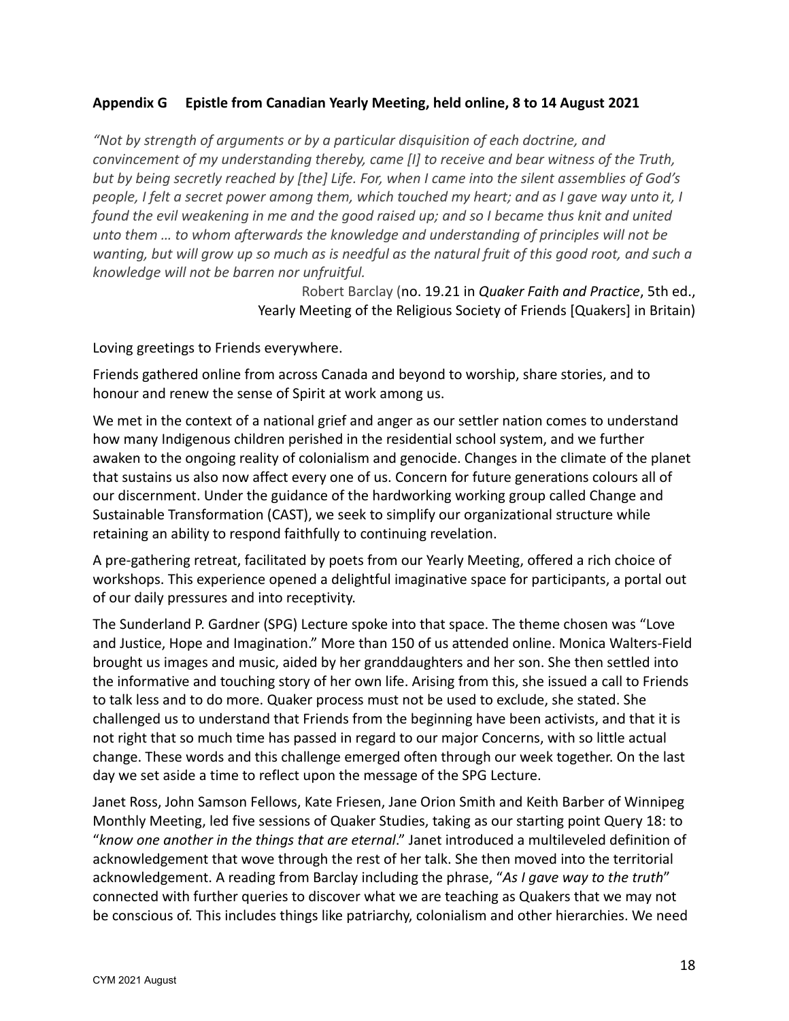## **Appendix G Epistle from Canadian Yearly Meeting, held online, 8 to 14 August 2021**

*"Not by strength of arguments or by a particular disquisition of each doctrine, and convincement of my understanding thereby, came [I] to receive and bear witness of the Truth, but by being secretly reached by [the] Life. For, when I came into the silent assemblies of God's people, I felt a secret power among them, which touched my heart; and as I gave way unto it, I found the evil weakening in me and the good raised up; and so I became thus knit and united unto them … to whom afterwards the knowledge and understanding of principles will not be wanting, but will grow up so much as is needful as the natural fruit of this good root, and such a knowledge will not be barren nor unfruitful.*

> Robert Barclay (no. 19.21 in *Quaker Faith and Practice*, 5th ed., Yearly Meeting of the Religious Society of Friends [Quakers] in Britain)

Loving greetings to Friends everywhere.

Friends gathered online from across Canada and beyond to worship, share stories, and to honour and renew the sense of Spirit at work among us.

We met in the context of a national grief and anger as our settler nation comes to understand how many Indigenous children perished in the residential school system, and we further awaken to the ongoing reality of colonialism and genocide. Changes in the climate of the planet that sustains us also now affect every one of us. Concern for future generations colours all of our discernment. Under the guidance of the hardworking working group called Change and Sustainable Transformation (CAST), we seek to simplify our organizational structure while retaining an ability to respond faithfully to continuing revelation.

A pre-gathering retreat, facilitated by poets from our Yearly Meeting, offered a rich choice of workshops. This experience opened a delightful imaginative space for participants, a portal out of our daily pressures and into receptivity.

The Sunderland P. Gardner (SPG) Lecture spoke into that space. The theme chosen was "Love and Justice, Hope and Imagination." More than 150 of us attended online. Monica Walters-Field brought us images and music, aided by her granddaughters and her son. She then settled into the informative and touching story of her own life. Arising from this, she issued a call to Friends to talk less and to do more. Quaker process must not be used to exclude, she stated. She challenged us to understand that Friends from the beginning have been activists, and that it is not right that so much time has passed in regard to our major Concerns, with so little actual change. These words and this challenge emerged often through our week together. On the last day we set aside a time to reflect upon the message of the SPG Lecture.

Janet Ross, John Samson Fellows, Kate Friesen, Jane Orion Smith and Keith Barber of Winnipeg Monthly Meeting, led five sessions of Quaker Studies, taking as our starting point Query 18: to "*know one another in the things that are eternal*." Janet introduced a multileveled definition of acknowledgement that wove through the rest of her talk. She then moved into the territorial acknowledgement. A reading from Barclay including the phrase, "*As I gave way to the truth*" connected with further queries to discover what we are teaching as Quakers that we may not be conscious of. This includes things like patriarchy, colonialism and other hierarchies. We need